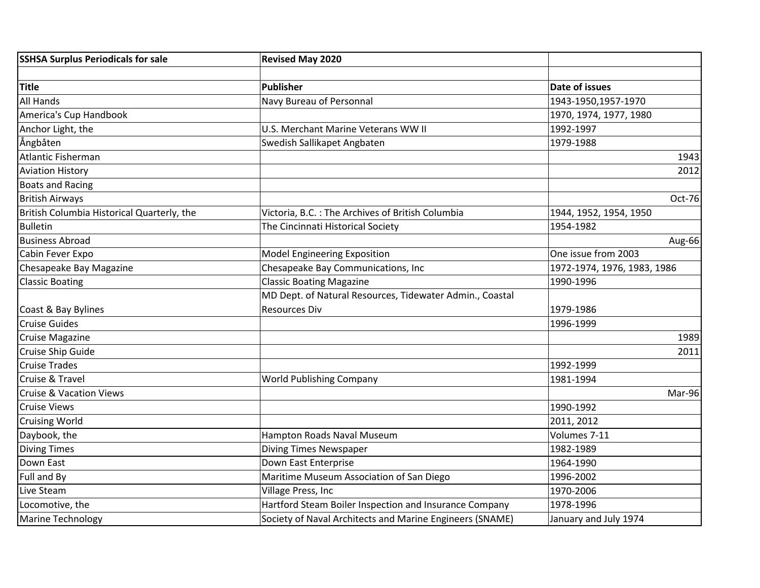| <b>SSHSA Surplus Periodicals for sale</b>  | <b>Revised May 2020</b>                                  |                             |
|--------------------------------------------|----------------------------------------------------------|-----------------------------|
|                                            |                                                          |                             |
| <b>Title</b>                               | <b>Publisher</b>                                         | Date of issues              |
| All Hands                                  | Navy Bureau of Personnal                                 | 1943-1950,1957-1970         |
| America's Cup Handbook                     |                                                          | 1970, 1974, 1977, 1980      |
| Anchor Light, the                          | U.S. Merchant Marine Veterans WW II                      | 1992-1997                   |
| Angbåten                                   | Swedish Sallikapet Angbaten                              | 1979-1988                   |
| Atlantic Fisherman                         |                                                          | 1943                        |
| <b>Aviation History</b>                    |                                                          | 2012                        |
| <b>Boats and Racing</b>                    |                                                          |                             |
| <b>British Airways</b>                     |                                                          | Oct-76                      |
| British Columbia Historical Quarterly, the | Victoria, B.C. : The Archives of British Columbia        | 1944, 1952, 1954, 1950      |
| Bulletin                                   | The Cincinnati Historical Society                        | 1954-1982                   |
| <b>Business Abroad</b>                     |                                                          | Aug-66                      |
| Cabin Fever Expo                           | Model Engineering Exposition                             | One issue from 2003         |
| Chesapeake Bay Magazine                    | Chesapeake Bay Communications, Inc                       | 1972-1974, 1976, 1983, 1986 |
| <b>Classic Boating</b>                     | <b>Classic Boating Magazine</b>                          | 1990-1996                   |
|                                            | MD Dept. of Natural Resources, Tidewater Admin., Coastal |                             |
| Coast & Bay Bylines                        | <b>Resources Div</b>                                     | 1979-1986                   |
| <b>Cruise Guides</b>                       |                                                          | 1996-1999                   |
| <b>Cruise Magazine</b>                     |                                                          | 1989                        |
| Cruise Ship Guide                          |                                                          | 2011                        |
| <b>Cruise Trades</b>                       |                                                          | 1992-1999                   |
| <b>Cruise &amp; Travel</b>                 | <b>World Publishing Company</b>                          | 1981-1994                   |
| <b>Cruise &amp; Vacation Views</b>         |                                                          | Mar-96                      |
| <b>Cruise Views</b>                        |                                                          | 1990-1992                   |
| <b>Cruising World</b>                      |                                                          | 2011, 2012                  |
| Daybook, the                               | Hampton Roads Naval Museum                               | Volumes 7-11                |
| <b>Diving Times</b>                        | <b>Diving Times Newspaper</b>                            | 1982-1989                   |
| Down East                                  | Down East Enterprise                                     | 1964-1990                   |
| Full and By                                | Maritime Museum Association of San Diego                 | 1996-2002                   |
| Live Steam                                 | Village Press, Inc                                       | 1970-2006                   |
| Locomotive, the                            | Hartford Steam Boiler Inspection and Insurance Company   | 1978-1996                   |
| Marine Technology                          | Society of Naval Architects and Marine Engineers (SNAME) | January and July 1974       |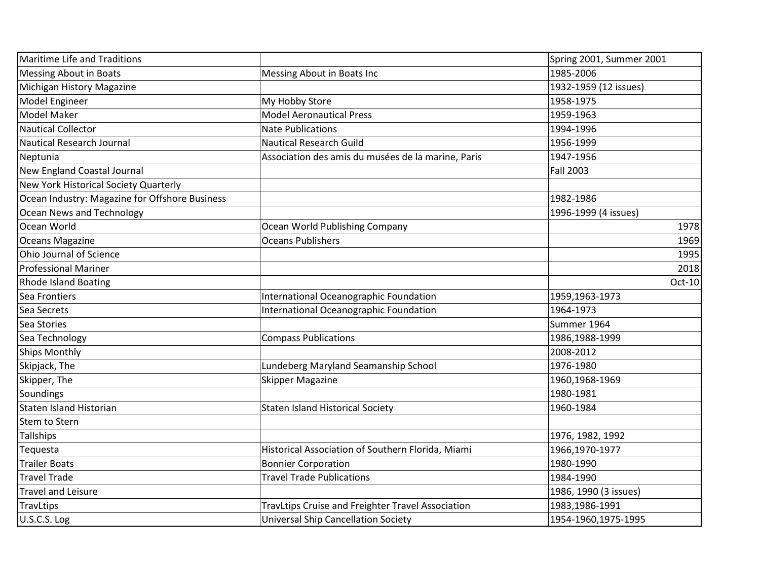| Maritime Life and Traditions                   |                                                    | Spring 2001, Summer 2001 |
|------------------------------------------------|----------------------------------------------------|--------------------------|
| <b>Messing About in Boats</b>                  | Messing About in Boats Inc                         | 1985-2006                |
| Michigan History Magazine                      |                                                    | 1932-1959 (12 issues)    |
| Model Engineer                                 | My Hobby Store                                     | 1958-1975                |
| <b>Model Maker</b>                             | <b>Model Aeronautical Press</b>                    | 1959-1963                |
| <b>Nautical Collector</b>                      | <b>Nate Publications</b>                           | 1994-1996                |
| Nautical Research Journal                      | <b>Nautical Research Guild</b>                     | 1956-1999                |
| Neptunia                                       | Association des amis du musées de la marine, Paris | 1947-1956                |
| New England Coastal Journal                    |                                                    | <b>Fall 2003</b>         |
| New York Historical Society Quarterly          |                                                    |                          |
| Ocean Industry: Magazine for Offshore Business |                                                    | 1982-1986                |
| Ocean News and Technology                      |                                                    | 1996-1999 (4 issues)     |
| Ocean World                                    | Ocean World Publishing Company                     | 1978                     |
| Oceans Magazine                                | <b>Oceans Publishers</b>                           | 1969                     |
| Ohio Journal of Science                        |                                                    | 1995                     |
| <b>Professional Mariner</b>                    |                                                    | 2018                     |
| <b>Rhode Island Boating</b>                    |                                                    | Oct-10                   |
| Sea Frontiers                                  | International Oceanographic Foundation             | 1959,1963-1973           |
| Sea Secrets                                    | International Oceanographic Foundation             | 1964-1973                |
| Sea Stories                                    |                                                    | Summer 1964              |
| Sea Technology                                 | <b>Compass Publications</b>                        | 1986,1988-1999           |
| Ships Monthly                                  |                                                    | 2008-2012                |
| Skipjack, The                                  | Lundeberg Maryland Seamanship School               | 1976-1980                |
| Skipper, The                                   | <b>Skipper Magazine</b>                            | 1960,1968-1969           |
| Soundings                                      |                                                    | 1980-1981                |
| Staten Island Historian                        | <b>Staten Island Historical Society</b>            | 1960-1984                |
| <b>Stem to Stern</b>                           |                                                    |                          |
| <b>Tallships</b>                               |                                                    | 1976, 1982, 1992         |
| Tequesta                                       | Historical Association of Southern Florida, Miami  | 1966,1970-1977           |
| <b>Trailer Boats</b>                           | <b>Bonnier Corporation</b>                         | 1980-1990                |
| <b>Travel Trade</b>                            | <b>Travel Trade Publications</b>                   | 1984-1990                |
| <b>Travel and Leisure</b>                      |                                                    | 1986, 1990 (3 issues)    |
| TravLtips                                      | TravLtips Cruise and Freighter Travel Association  | 1983,1986-1991           |
| U.S.C.S. Log                                   | <b>Universal Ship Cancellation Society</b>         | 1954-1960,1975-1995      |